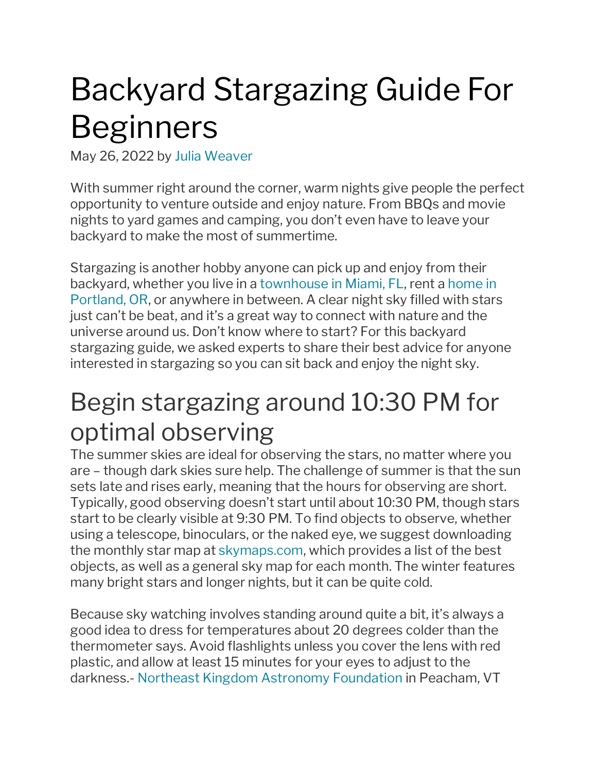# Backyard Stargazing Guide For Beginners

May 26, 2022 by Julia [Weaver](https://www.redfin.com/blog/author/julia-weaver/)

With summer right around the corner, warm nights give people the perfect opportunity to venture outside and enjoy nature. From BBQs and movie nights to yard games and camping, you don't even have to leave your backyard to make the most of summertime.

Stargazing is another hobby anyone can pick up and enjoy from their backyard, whether you live in a [townhouse](https://www.redfin.com/city/11458/FL/Miami) in Miami, FL, rent a [home](https://www.redfin.com/city/30772/OR/Portland/apartments-for-rent) in [Portland,](https://www.redfin.com/city/30772/OR/Portland/apartments-for-rent) OR, or anywhere in between. A clear night sky filled with stars just can't be beat, and it's a great way to connect with nature and the universe around us. Don't know where to start? For this backyard stargazing guide, we asked experts to share their best advice for anyone interested in stargazing so you can sit back and enjoy the night sky.

#### Begin stargazing around 10:30 PM for optimal observing

The summer skies are ideal for observing the stars, no matter where you are – though dark skies sure help. The challenge of summer is that the sun sets late and rises early, meaning that the hours for observing are short. Typically, good observing doesn't start until about 10:30 PM, though stars start to be clearly visible at 9:30 PM. To find objects to observe, whether using a telescope, binoculars, or the naked eye, we suggest downloading the monthly star map at [skymaps.com,](http://skymaps.com/) which provides a list of the best objects, as well as a general sky map for each month. The winter features many bright stars and longer nights, but it can be quite cold.

Because sky watching involves standing around quite a bit, it's always a good idea to dress for temperatures about 20 degrees colder than the thermometer says. Avoid flashlights unless you cover the lens with red plastic, and allow at least 15 minutes for your eyes to adjust to the darkness.- Northeast Kingdom Astronomy [Foundation](http://nkaf.org/) in Peacham, VT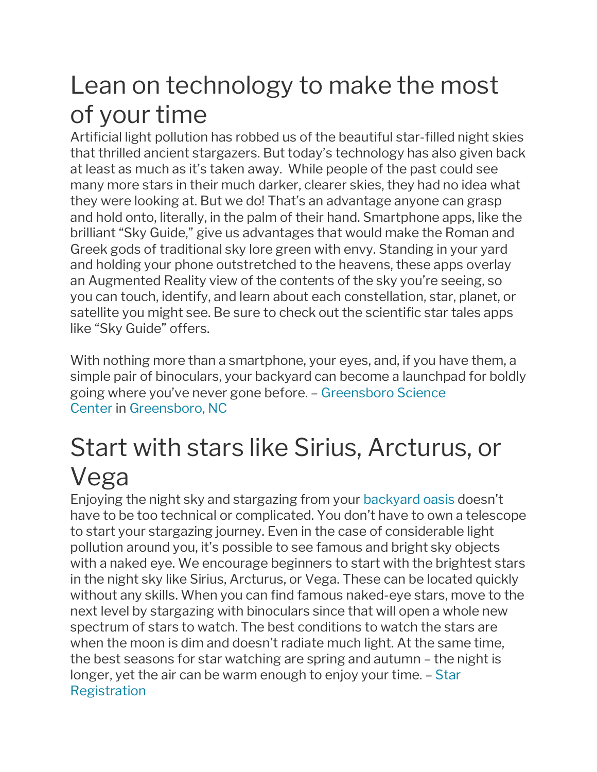#### Lean on technology to make the most of your time

Artificial light pollution has robbed us of the beautiful star-filled night skies that thrilled ancient stargazers. But today's technology has also given back at least as much as it's taken away. While people of the past could see many more stars in their much darker, clearer skies, they had no idea what they were looking at. But we do! That's an advantage anyone can grasp and hold onto, literally, in the palm of their hand. Smartphone apps, like the brilliant "Sky Guide," give us advantages that would make the Roman and Greek gods of traditional sky lore green with envy. Standing in your yard and holding your phone outstretched to the heavens, these apps overlay an Augmented Reality view of the contents of the sky you're seeing, so you can touch, identify, and learn about each constellation, star, planet, or satellite you might see. Be sure to check out the scientific star tales apps like "Sky Guide" offers.

With nothing more than a smartphone, your eyes, and, if you have them, a simple pair of binoculars, your backyard can become a launchpad for boldly going where you've never gone before. – [Greensboro](http://greensboroscience.org/) Science [Center](http://greensboroscience.org/) in [Greensboro,](https://www.redfin.com/city/7161/NC/Greensboro/apartments-for-rent) NC

#### Start with stars like Sirius, Arcturus, or Vega

Enjoying the night sky and stargazing from your [backyard](https://www.redfin.com/blog/backyard-oasis-ideas-for-your-home/) oasis doesn't have to be too technical or complicated. You don't have to own a telescope to start your stargazing journey. Even in the case of considerable light pollution around you, it's possible to see famous and bright sky objects with a naked eye. We encourage beginners to start with the brightest stars in the night sky like Sirius, Arcturus, or Vega. These can be located quickly without any skills. When you can find famous naked-eye stars, move to the next level by stargazing with binoculars since that will open a whole new spectrum of stars to watch. The best conditions to watch the stars are when the moon is dim and doesn't radiate much light. At the same time, the best seasons for star watching are spring and autumn – the night is longer, yet the air can be warm enough to enjoy your time. – [Star](http://starregistration.net/) [Registration](http://starregistration.net/)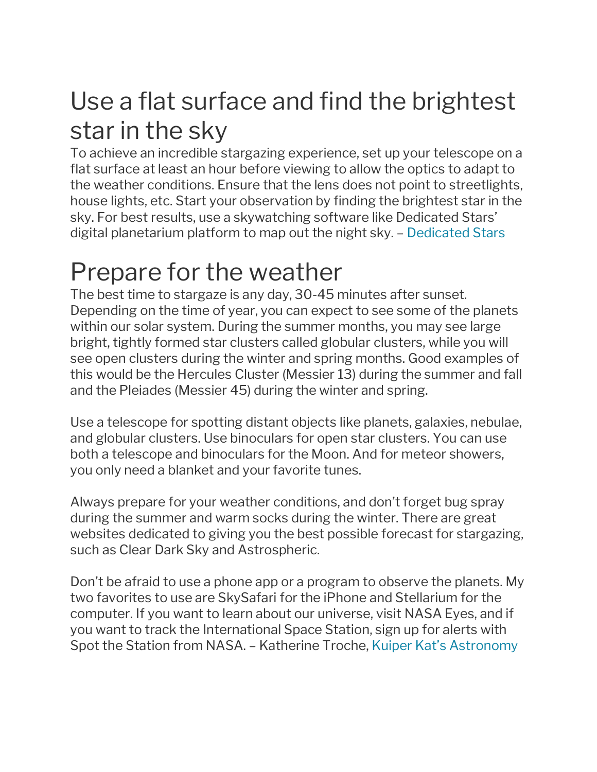### Use a flat surface and find the brightest star in the sky

To achieve an incredible stargazing experience, set up your telescope on a flat surface at least an hour before viewing to allow the optics to adapt to the weather conditions. Ensure that the lens does not point to streetlights, house lights, etc. Start your observation by finding the brightest star in the sky. For best results, use a skywatching software like Dedicated Stars' digital planetarium platform to map out the night sky. – [Dedicated](http://dedicatedstars.com/) Stars

### Prepare for the weather

The best time to stargaze is any day, 30-45 minutes after sunset. Depending on the time of year, you can expect to see some of the planets within our solar system. During the summer months, you may see large bright, tightly formed star clusters called globular clusters, while you will see open clusters during the winter and spring months. Good examples of this would be the Hercules Cluster (Messier 13) during the summer and fall and the Pleiades (Messier 45) during the winter and spring.

Use a telescope for spotting distant objects like planets, galaxies, nebulae, and globular clusters. Use binoculars for open star clusters. You can use both a telescope and binoculars for the Moon. And for meteor showers, you only need a blanket and your favorite tunes.

Always prepare for your weather conditions, and don't forget bug spray during the summer and warm socks during the winter. There are great websites dedicated to giving you the best possible forecast for stargazing, such as Clear Dark Sky and Astrospheric.

Don't be afraid to use a phone app or a program to observe the planets. My two favorites to use are SkySafari for the iPhone and Stellarium for the computer. If you want to learn about our universe, visit NASA Eyes, and if you want to track the International Space Station, sign up for alerts with Spot the Station from NASA. – Katherine Troche, Kuiper Kat's [Astronomy](https://www.kuiperkat.org/)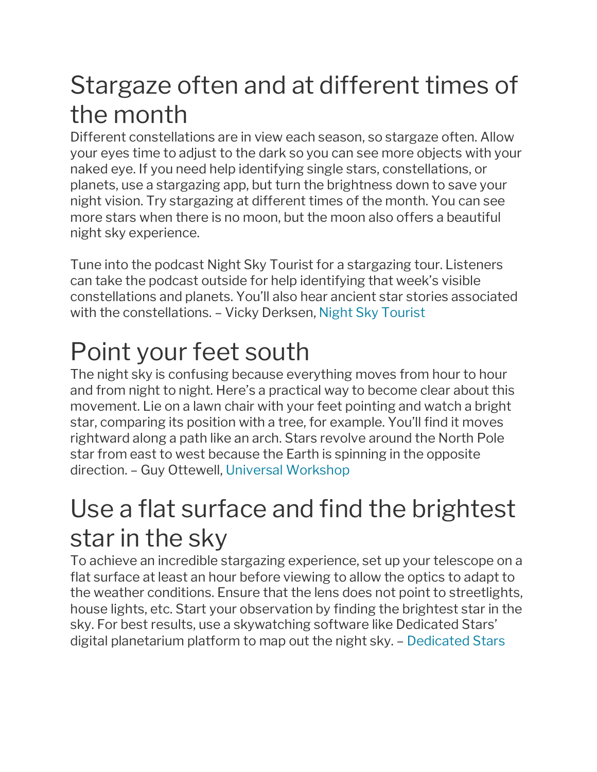#### Stargaze often and at different times of the month

Different constellations are in view each season, so stargaze often. Allow your eyes time to adjust to the dark so you can see more objects with your naked eye. If you need help identifying single stars, constellations, or planets, use a stargazing app, but turn the brightness down to save your night vision. Try stargazing at different times of the month. You can see more stars when there is no moon, but the moon also offers a beautiful night sky experience.

Tune into the podcast Night Sky Tourist for a stargazing tour. Listeners can take the podcast outside for help identifying that week's visible constellations and planets. You'll also hear ancient star stories associated with the constellations. – Vicky Derksen, Night Sky [Tourist](http://nightskytourist.com/)

# Point your feet south

The night sky is confusing because everything moves from hour to hour and from night to night. Here's a practical way to become clear about this movement. Lie on a lawn chair with your feet pointing and watch a bright star, comparing its position with a tree, for example. You'll find it moves rightward along a path like an arch. Stars revolve around the North Pole star from east to west because the Earth is spinning in the opposite direction. – Guy Ottewell, Universal [Workshop](https://www.universalworkshop.com/)

#### Use a flat surface and find the brightest star in the sky

To achieve an incredible stargazing experience, set up your telescope on a flat surface at least an hour before viewing to allow the optics to adapt to the weather conditions. Ensure that the lens does not point to streetlights, house lights, etc. Start your observation by finding the brightest star in the sky. For best results, use a skywatching software like Dedicated Stars' digital planetarium platform to map out the night sky. – [Dedicated](http://dedicatedstars.com/) Stars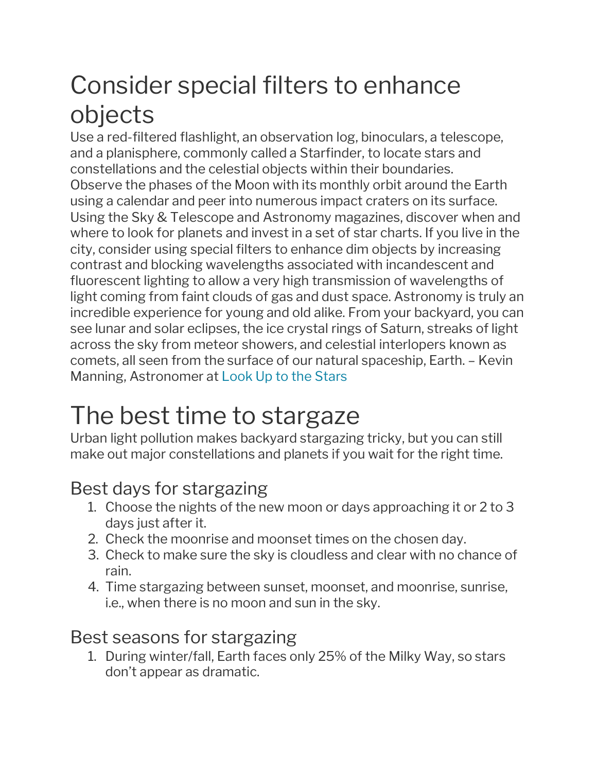### Consider special filters to enhance objects

Use a red-filtered flashlight, an observation log, binoculars, a telescope, and a planisphere, commonly called a Starfinder, to locate stars and constellations and the celestial objects within their boundaries. Observe the phases of the Moon with its monthly orbit around the Earth using a calendar and peer into numerous impact craters on its surface. Using the Sky & Telescope and Astronomy magazines, discover when and where to look for planets and invest in a set of star charts. If you live in the city, consider using special filters to enhance dim objects by increasing contrast and blocking wavelengths associated with incandescent and fluorescent lighting to allow a very high transmission of wavelengths of light coming from faint clouds of gas and dust space. Astronomy is truly an incredible experience for young and old alike. From your backyard, you can see lunar and solar eclipses, the ice crystal rings of Saturn, streaks of light across the sky from meteor showers, and celestial interlopers known as comets, all seen from the surface of our natural spaceship, Earth. – Kevin Manning, Astronomer at Look Up to the [Stars](https://www.lookuptothestars.com/)

### The best time to stargaze

Urban light pollution makes backyard stargazing tricky, but you can still make out major constellations and planets if you wait for the right time.

#### Best days for stargazing

- 1. Choose the nights of the new moon or days approaching it or 2 to 3 days just after it.
- 2. Check the moonrise and moonset times on the chosen day.
- 3. Check to make sure the sky is cloudless and clear with no chance of rain.
- 4. Time stargazing between sunset, moonset, and moonrise, sunrise, i.e., when there is no moon and sun in the sky.

#### Best seasons for stargazing

1. During winter/fall, Earth faces only 25% of the Milky Way, so stars don't appear as dramatic.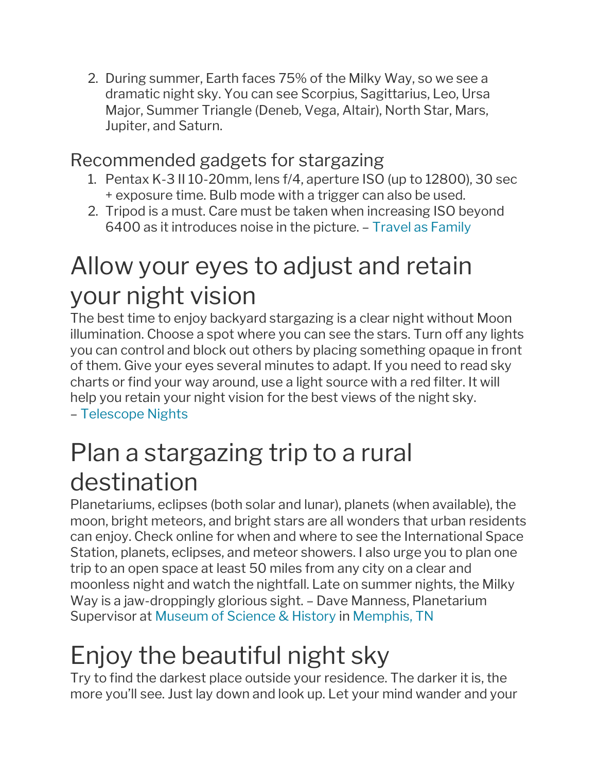2. During summer, Earth faces 75% of the Milky Way, so we see a dramatic night sky. You can see Scorpius, Sagittarius, Leo, Ursa Major, Summer Triangle (Deneb, Vega, Altair), North Star, Mars, Jupiter, and Saturn.

#### Recommended gadgets for stargazing

- 1. Pentax K-3 II 10-20mm, lens f/4, aperture ISO (up to 12800), 30 sec + exposure time. Bulb mode with a trigger can also be used.
- 2. Tripod is a must. Care must be taken when increasing ISO beyond 6400 as it introduces noise in the picture. – Travel as [Family](http://travelasfamily.com/Stargazing)

#### Allow your eyes to adjust and retain your night vision

The best time to enjoy backyard stargazing is a clear night without Moon illumination. Choose a spot where you can see the stars. Turn off any lights you can control and block out others by placing something opaque in front of them. Give your eyes several minutes to adapt. If you need to read sky charts or find your way around, use a light source with a red filter. It will help you retain your night vision for the best views of the night sky. – [Telescope](http://telescopenights.com/) Nights

### Plan a stargazing trip to a rural destination

Planetariums, eclipses (both solar and lunar), planets (when available), the moon, bright meteors, and bright stars are all wonders that urban residents can enjoy. Check online for when and where to see the International Space Station, planets, eclipses, and meteor showers. I also urge you to plan one trip to an open space at least 50 miles from any city on a clear and moonless night and watch the nightfall. Late on summer nights, the Milky Way is a jaw-droppingly glorious sight. – Dave Manness, Planetarium Supervisor at [Museum](http://www.moshmemphis.com/) of Science & History in [Memphis,](https://www.redfin.com/city/12260/TN/Memphis/apartments-for-rent) TN

# Enjoy the beautiful night sky

Try to find the darkest place outside your residence. The darker it is, the more you'll see. Just lay down and look up. Let your mind wander and your